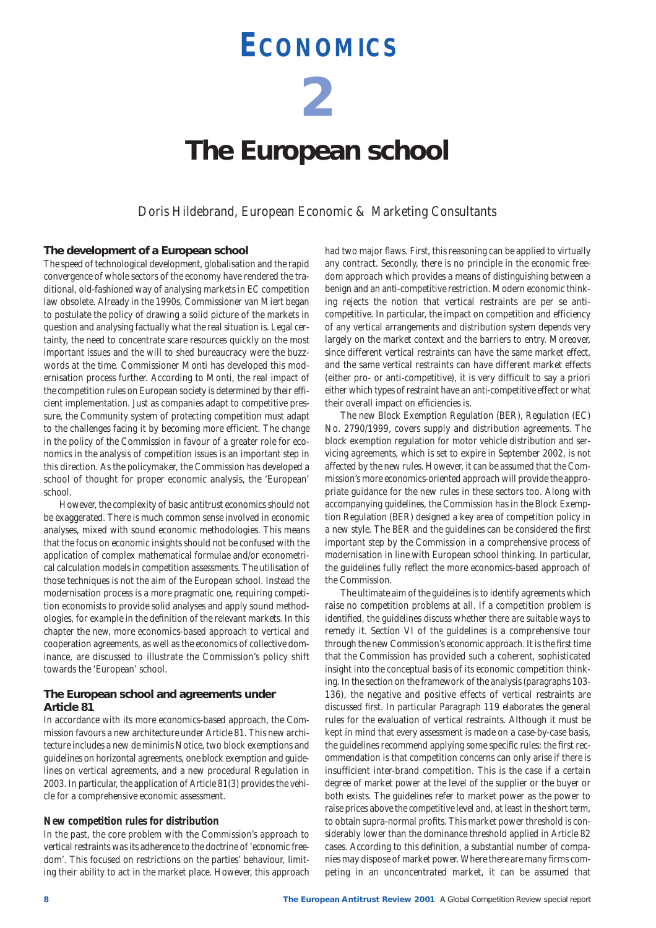# **ECONOMICS**

**2**

# **The European school**

*Doris Hildebrand, European Economic & Marketing Consultants*

### **The development of a European school**

The speed of technological development, globalisation and the rapid convergence of whole sectors of the economy have rendered the traditional, old-fashioned way of analysing markets in EC competition law obsolete. Already in the 1990s, Commissioner van Miert began to postulate the policy of drawing a solid picture of the markets in question and analysing factually what the real situation is. Legal certainty, the need to concentrate scare resources quickly on the most important issues and the will to shed bureaucracy were the buzzwords at the time. Commissioner Monti has developed this modernisation process further. According to Monti, the real impact of the competition rules on European society is determined by their efficient implementation. Just as companies adapt to competitive pressure, the Community system of protecting competition must adapt to the challenges facing it by becoming more efficient. The change in the policy of the Commission in favour of a greater role for economics in the analysis of competition issues is an important step in this direction. As the policymaker, the Commission has developed a school of thought for proper economic analysis, the 'European' school.

However, the complexity of basic antitrust economics should not be exaggerated. There is much common sense involved in economic analyses, mixed with sound economic methodologies. This means that the focus on economic insights should not be confused with the application of complex mathematical formulae and/or econometrical calculation models in competition assessments. The utilisation of those techniques is not the aim of the European school. Instead the modernisation process is a more pragmatic one, requiring competition economists to provide solid analyses and apply sound methodologies, for example in the definition of the relevant markets. In this chapter the new, more economics-based approach to vertical and cooperation agreements, as well as the economics of collective dominance, are discussed to illustrate the Commission's policy shift towards the 'European' school.

# **The European school and agreements under Article 81**

In accordance with its more economics-based approach, the Commission favours a new architecture under Article 81. This new architecture includes a new de minimis Notice, two block exemptions and guidelines on horizontal agreements, one block exemption and guidelines on vertical agreements, and a new procedural Regulation in 2003. In particular, the application of Article 81(3) provides the vehicle for a comprehensive economic assessment.

#### **New competition rules for distribution**

In the past, the core problem with the Commission's approach to vertical restraints was its adherence to the doctrine of 'economic freedom'. This focused on restrictions on the parties' behaviour, limiting their ability to act in the market place. However, this approach had two major flaws. First, this reasoning can be applied to virtually any contract. Secondly, there is no principle in the economic freedom approach which provides a means of distinguishing between a benign and an anti-competitive restriction. Modern economic thinking rejects the notion that vertical restraints are per se anticompetitive. In particular, the impact on competition and efficiency of any vertical arrangements and distribution system depends very largely on the market context and the barriers to entry. Moreover, since different vertical restraints can have the same market effect, and the same vertical restraints can have different market effects (either pro- or anti-competitive), it is very difficult to say a priori either which types of restraint have an anti-competitive effect or what their overall impact on efficiencies is.

The new Block Exemption Regulation (BER), Regulation (EC) No. 2790/1999, covers supply and distribution agreements. The block exemption regulation for motor vehicle distribution and servicing agreements, which is set to expire in September 2002, is not affected by the new rules. However, it can be assumed that the Commission's more economics-oriented approach will provide the appropriate guidance for the new rules in these sectors too. Along with accompanying guidelines, the Commission has in the Block Exemption Regulation (BER) designed a key area of competition policy in a new style. The BER and the guidelines can be considered the first important step by the Commission in a comprehensive process of modernisation in line with European school thinking. In particular, the guidelines fully reflect the more economics-based approach of the Commission.

The ultimate aim of the guidelines is to identify agreements which raise no competition problems at all. If a competition problem is identified, the guidelines discuss whether there are suitable ways to remedy it. Section VI of the guidelines is a comprehensive tour through the new Commission's economic approach. It is the first time that the Commission has provided such a coherent, sophisticated insight into the conceptual basis of its economic competition thinking. In the section on the framework of the analysis (paragraphs 103- 136), the negative and positive effects of vertical restraints are discussed first. In particular Paragraph 119 elaborates the general rules for the evaluation of vertical restraints. Although it must be kept in mind that every assessment is made on a case-by-case basis, the guidelines recommend applying some specific rules: the first recommendation is that competition concerns can only arise if there is insufficient inter-brand competition. This is the case if a certain degree of market power at the level of the supplier or the buyer or both exists. The guidelines refer to market power as the power to raise prices above the competitive level and, at least in the short term, to obtain supra-normal profits. This market power threshold is considerably lower than the dominance threshold applied in Article 82 cases. According to this definition, a substantial number of companies may dispose of market power. Where there are many firms competing in an unconcentrated market, it can be assumed that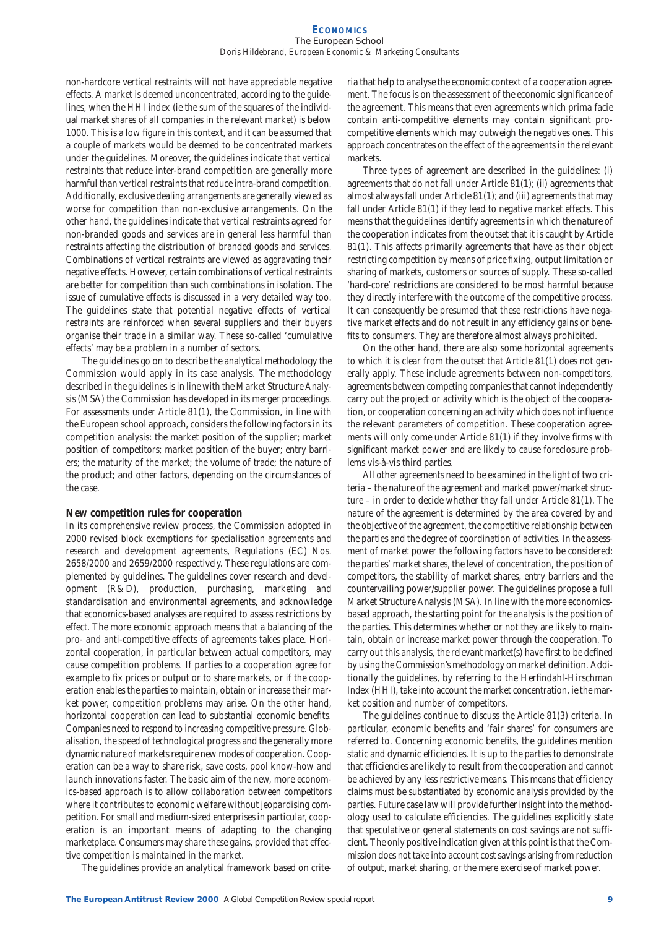#### **ECONOMICS** The European School *Doris Hildebrand, European Economic & Marketing Consultants*

non-hardcore vertical restraints will not have appreciable negative effects. A market is deemed unconcentrated, according to the guidelines, when the HHI index (ie the sum of the squares of the individual market shares of all companies in the relevant market) is below 1000. This is a low figure in this context, and it can be assumed that a couple of markets would be deemed to be concentrated markets under the guidelines. Moreover, the guidelines indicate that vertical restraints that reduce inter-brand competition are generally more harmful than vertical restraints that reduce intra-brand competition. Additionally, exclusive dealing arrangements are generally viewed as worse for competition than non-exclusive arrangements. On the other hand, the guidelines indicate that vertical restraints agreed for non-branded goods and services are in general less harmful than restraints affecting the distribution of branded goods and services. Combinations of vertical restraints are viewed as aggravating their negative effects. However, certain combinations of vertical restraints are better for competition than such combinations in isolation. The issue of cumulative effects is discussed in a very detailed way too. The guidelines state that potential negative effects of vertical restraints are reinforced when several suppliers and their buyers organise their trade in a similar way. These so-called 'cumulative effects' may be a problem in a number of sectors.

The guidelines go on to describe the analytical methodology the Commission would apply in its case analysis. The methodology described in the guidelines is in line with the Market Structure Analysis (MSA) the Commission has developed in its merger proceedings. For assessments under Article 81(1), the Commission, in line with the European school approach, considers the following factors in its competition analysis: the market position of the supplier; market position of competitors; market position of the buyer; entry barriers; the maturity of the market; the volume of trade; the nature of the product; and other factors, depending on the circumstances of the case.

#### **New competition rules for cooperation**

In its comprehensive review process, the Commission adopted in 2000 revised block exemptions for specialisation agreements and research and development agreements, Regulations (EC) Nos. 2658/2000 and 2659/2000 respectively. These regulations are complemented by guidelines. The guidelines cover research and development (R&D), production, purchasing, marketing and standardisation and environmental agreements, and acknowledge that economics-based analyses are required to assess restrictions by effect. The more economic approach means that a balancing of the pro- and anti-competitive effects of agreements takes place. Horizontal cooperation, in particular between actual competitors, may cause competition problems. If parties to a cooperation agree for example to fix prices or output or to share markets, or if the cooperation enables the parties to maintain, obtain or increase their market power, competition problems may arise. On the other hand, horizontal cooperation can lead to substantial economic benefits. Companies need to respond to increasing competitive pressure. Globalisation, the speed of technological progress and the generally more dynamic nature of markets require new modes of cooperation. Cooperation can be a way to share risk, save costs, pool know-how and launch innovations faster. The basic aim of the new, more economics-based approach is to allow collaboration between competitors where it contributes to economic welfare without jeopardising competition. For small and medium-sized enterprises in particular, cooperation is an important means of adapting to the changing marketplace. Consumers may share these gains, provided that effective competition is maintained in the market.

The guidelines provide an analytical framework based on crite-

ria that help to analyse the economic context of a cooperation agreement. The focus is on the assessment of the economic significance of the agreement. This means that even agreements which prima facie contain anti-competitive elements may contain significant procompetitive elements which may outweigh the negatives ones. This approach concentrates on the effect of the agreements in the relevant markets.

Three types of agreement are described in the guidelines: (i) agreements that do not fall under Article 81(1); (ii) agreements that almost always fall under Article 81(1); and (iii) agreements that may fall under Article 81(1) if they lead to negative market effects. This means that the guidelines identify agreements in which the nature of the cooperation indicates from the outset that it is caught by Article 81(1). This affects primarily agreements that have as their object restricting competition by means of price fixing, output limitation or sharing of markets, customers or sources of supply. These so-called 'hard-core' restrictions are considered to be most harmful because they directly interfere with the outcome of the competitive process. It can consequently be presumed that these restrictions have negative market effects and do not result in any efficiency gains or benefits to consumers. They are therefore almost always prohibited.

On the other hand, there are also some horizontal agreements to which it is clear from the outset that Article 81(1) does not generally apply. These include agreements between non-competitors, agreements between competing companies that cannot independently carry out the project or activity which is the object of the cooperation, or cooperation concerning an activity which does not influence the relevant parameters of competition. These cooperation agreements will only come under Article 81(1) if they involve firms with significant market power and are likely to cause foreclosure problems vis-à-vis third parties.

All other agreements need to be examined in the light of two criteria – the nature of the agreement and market power/market structure – in order to decide whether they fall under Article 81(1). The nature of the agreement is determined by the area covered by and the objective of the agreement, the competitive relationship between the parties and the degree of coordination of activities. In the assessment of market power the following factors have to be considered: the parties' market shares, the level of concentration, the position of competitors, the stability of market shares, entry barriers and the countervailing power/supplier power. The guidelines propose a full Market Structure Analysis (MSA). In line with the more economicsbased approach, the starting point for the analysis is the position of the parties. This determines whether or not they are likely to maintain, obtain or increase market power through the cooperation. To carry out this analysis, the relevant market(s) have first to be defined by using the Commission's methodology on market definition. Additionally the guidelines, by referring to the Herfindahl-Hirschman Index (HHI), take into account the market concentration, ie the market position and number of competitors.

The guidelines continue to discuss the Article 81(3) criteria. In particular, economic benefits and 'fair shares' for consumers are referred to. Concerning economic benefits, the guidelines mention static and dynamic efficiencies. It is up to the parties to demonstrate that efficiencies are likely to result from the cooperation and cannot be achieved by any less restrictive means. This means that efficiency claims must be substantiated by economic analysis provided by the parties. Future case law will provide further insight into the methodology used to calculate efficiencies. The guidelines explicitly state that speculative or general statements on cost savings are not sufficient. The only positive indication given at this point is that the Commission does not take into account cost savings arising from reduction of output, market sharing, or the mere exercise of market power.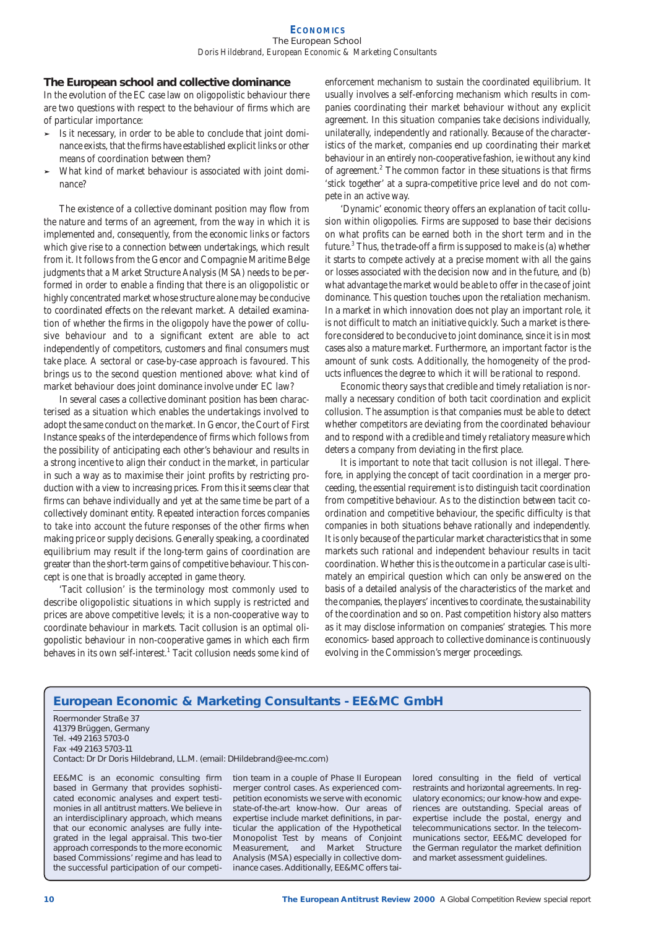#### **ECONOMICS** The European School *Doris Hildebrand, European Economic & Marketing Consultants*

# **The European school and collective dominance**

In the evolution of the EC case law on oligopolistic behaviour there are two questions with respect to the behaviour of firms which are of particular importance:

- ➤ Is it necessary, in order to be able to conclude that joint dominance exists, that the firms have established explicit links or other means of coordination between them?
- What kind of market behaviour is associated with joint dominance?

The existence of a collective dominant position may flow from the nature and terms of an agreement, from the way in which it is implemented and, consequently, from the economic links or factors which give rise to a connection between undertakings, which result from it. It follows from the *Gencor* and *Compagnie Maritime Belge* judgments that a Market Structure Analysis (MSA) needs to be performed in order to enable a finding that there is an oligopolistic or highly concentrated market whose structure alone may be conducive to coordinated effects on the relevant market. A detailed examination of whether the firms in the oligopoly have the power of collusive behaviour and to a significant extent are able to act independently of competitors, customers and final consumers must take place. A sectoral or case-by-case approach is favoured. This brings us to the second question mentioned above: what kind of market behaviour does joint dominance involve under EC law?

In several cases a collective dominant position has been characterised as a situation which enables the undertakings involved to adopt the same conduct on the market. In *Gencor*, the Court of First Instance speaks of the interdependence of firms which follows from the possibility of anticipating each other's behaviour and results in a strong incentive to align their conduct in the market, in particular in such a way as to maximise their joint profits by restricting production with a view to increasing prices. From this it seems clear that firms can behave individually and yet at the same time be part of a collectively dominant entity. Repeated interaction forces companies to take into account the future responses of the other firms when making price or supply decisions. Generally speaking, a coordinated equilibrium may result if the long-term gains of coordination are greater than the short-term gains of competitive behaviour. This concept is one that is broadly accepted in game theory.

'Tacit collusion' is the terminology most commonly used to describe oligopolistic situations in which supply is restricted and prices are above competitive levels; it is a non-cooperative way to coordinate behaviour in markets. Tacit collusion is an optimal oligopolistic behaviour in non-cooperative games in which each firm behaves in its own self-interest.<sup>1</sup> Tacit collusion needs some kind of enforcement mechanism to sustain the coordinated equilibrium. It usually involves a self-enforcing mechanism which results in companies coordinating their market behaviour without any explicit agreement. In this situation companies take decisions individually, unilaterally, independently and rationally. Because of the characteristics of the market, companies end up coordinating their market behaviour in an entirely non-cooperative fashion, ie without any kind of agreement.<sup>2</sup> The common factor in these situations is that firms 'stick together' at a supra-competitive price level and do not compete in an active way.

'Dynamic' economic theory offers an explanation of tacit collusion within oligopolies. Firms are supposed to base their decisions on what profits can be earned both in the short term and in the future.3 Thus, the trade-off a firm is supposed to make is (a) whether it starts to compete actively at a precise moment with all the gains or losses associated with the decision now and in the future, and (b) what advantage the market would be able to offer in the case of joint dominance. This question touches upon the retaliation mechanism. In a market in which innovation does not play an important role, it is not difficult to match an initiative quickly. Such a market is therefore considered to be conducive to joint dominance, since it is in most cases also a mature market. Furthermore, an important factor is the amount of sunk costs. Additionally, the homogeneity of the products influences the degree to which it will be rational to respond.

Economic theory says that credible and timely retaliation is normally a necessary condition of both tacit coordination and explicit collusion. The assumption is that companies must be able to detect whether competitors are deviating from the coordinated behaviour and to respond with a credible and timely retaliatory measure which deters a company from deviating in the first place.

It is important to note that tacit collusion is not illegal. Therefore, in applying the concept of tacit coordination in a merger proceeding, the essential requirement is to distinguish tacit coordination from competitive behaviour. As to the distinction between tacit coordination and competitive behaviour, the specific difficulty is that companies in both situations behave rationally and independently. It is only because of the particular market characteristics that in some markets such rational and independent behaviour results in tacit coordination. Whether this is the outcome in a particular case is ultimately an empirical question which can only be answered on the basis of a detailed analysis of the characteristics of the market and the companies, the players' incentives to coordinate, the sustainability of the coordination and so on. Past competition history also matters as it may disclose information on companies' strategies. This more economics- based approach to collective dominance is continuously evolving in the Commission's merger proceedings.

# **European Economic & Marketing Consultants - EE&MC GmbH**

Roermonder Straße 37 41379 Brüggen, Germany Tel. +49 2163 5703-0 Fax +49 2163 5703-11

Contact: Dr Dr Doris Hildebrand, LL.M. (email: DHildebrand@ee-mc.com)

EE&MC is an economic consulting firm based in Germany that provides sophisticated economic analyses and expert testimonies in all antitrust matters. We believe in an interdisciplinary approach, which means that our economic analyses are fully integrated in the legal appraisal. This two-tier approach corresponds to the more economic based Commissions' regime and has lead to the successful participation of our competition team in a couple of Phase II European merger control cases. As experienced competition economists we serve with economic state-of-the-art know-how. Our areas of expertise include market definitions, in particular the application of the Hypothetical Monopolist Test by means of Conjoint Measurement, and Market Structure Analysis (MSA) especially in collective dominance cases. Additionally, EE&MC offers tai-

lored consulting in the field of vertical restraints and horizontal agreements. In regulatory economics; our know-how and experiences are outstanding. Special areas of expertise include the postal, energy and telecommunications sector. In the telecommunications sector, EE&MC developed for the German regulator the market definition and market assessment guidelines.